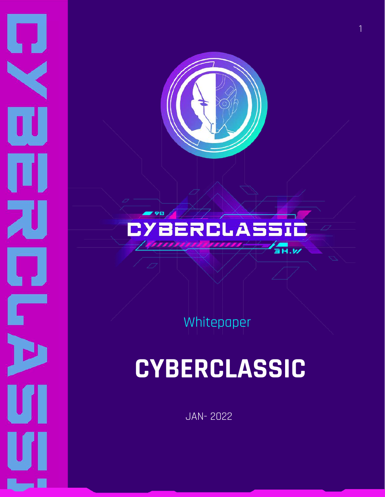

 $\boldsymbol{\Pi}$ 

П

П

刀

 $\boldsymbol{\mathsf{\Pi}}$ 

Г

U

### **BERCLASSIC ARK**

Whitepaper

## **CYBERCLASSIC**

JAN- 2022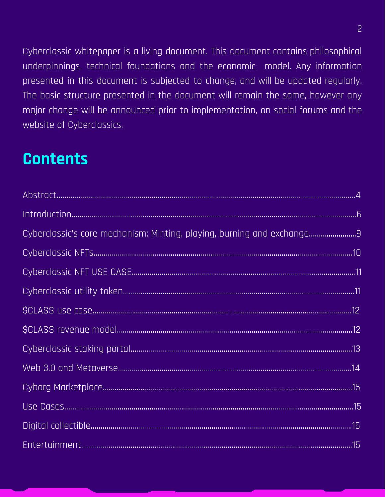Cyberclassic whitepaper is a living document. This document contains philosophical underpinnings, technical foundations and the economic model. Any information presented in this document is subjected to change, and will be updated regularly. The basic structure presented in the document will remain the same, however any major change will be announced prior to implementation, on social forums and the website of Cyberclassics.

### **Contents**

| Cyberclassic's core mechanism: Minting, playing, burning and exchange9 |
|------------------------------------------------------------------------|
|                                                                        |
|                                                                        |
|                                                                        |
|                                                                        |
|                                                                        |
|                                                                        |
|                                                                        |
|                                                                        |
|                                                                        |
|                                                                        |
|                                                                        |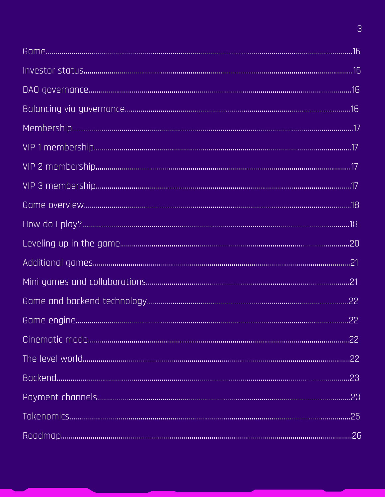$\overline{3}$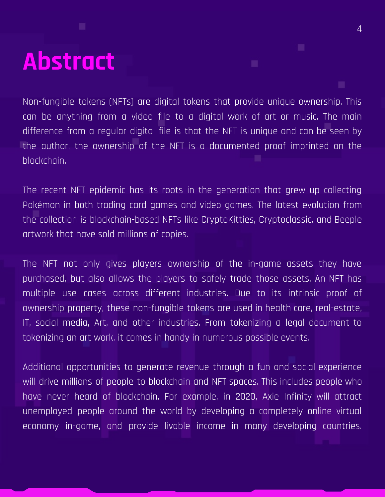## **Abstract**

Non-fungible tokens (NFTs) are digital tokens that provide unique ownership. This can be anything from a video file to a digital work of art or music. The main difference from a regular digital file is that the NFT is unique and can be seen by the author, the ownership of the NFT is a documented proof imprinted on the blockchain.

The recent NFT epidemic has its roots in the generation that grew up collecting Pokémon in both trading card games and video games. The latest evolution from the collection is blockchain-based NFTs like CryptoKitties, Cryptoclassic, and Beeple artwork that have sold millions of copies.

The NFT not only gives players ownership of the in-game assets they have purchased, but also allows the players to safely trade those assets. An NFT has multiple use cases across different industries. Due to its intrinsic proof of ownership property, these non-fungible tokens are used in health care, real-estate, IT, social media, Art, and other industries. From tokenizing a legal document to tokenizing an art work, it comes in handy in numerous possible events.

Additional opportunities to generate revenue through a fun and social experience will drive millions of people to blockchain and NFT spaces. This includes people who have never heard of blockchain. For example, in 2020, Axie Infinity will attract unemployed people around the world by developing a completely online virtual economy in-game, and provide livable income in many developing countries.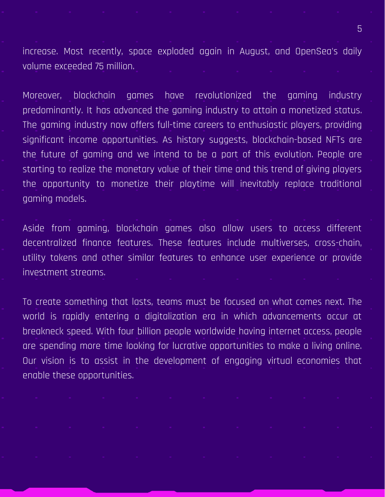increase. Most recently, space exploded again in August, and OpenSea's daily volume exceeded 75 million.

Moreover, blockchain games have revolutionized the gaming industry predominantly. It has advanced the gaming industry to attain a monetized status. The gaming industry now offers full-time careers to enthusiastic players, providing significant income opportunities. As history suggests, blockchain-based NFTs are the future of gaming and we intend to be a part of this evolution. People are starting to realize the monetary value of their time and this trend of giving players the opportunity to monetize their playtime will inevitably replace traditional gaming models.

Aside from gaming, blockchain games also allow users to access different decentralized finance features. These features include multiverses, cross-chain, utility tokens and other similar features to enhance user experience or provide investment streams.

To create something that lasts, teams must be focused on what comes next. The world is rapidly entering a digitalization era in which advancements occur at breakneck speed. With four billion people worldwide having internet access, people are spending more time looking for lucrative opportunities to make a living online. Our vision is to assist in the development of engaging virtual economies that enable these opportunities.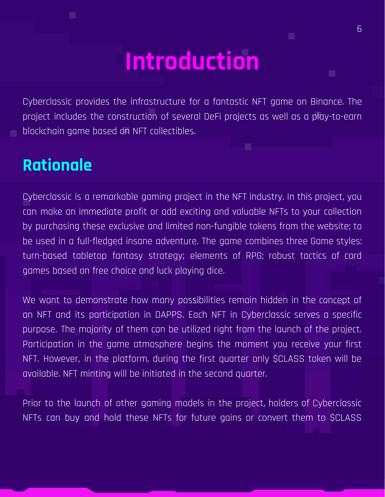## **Introduction**

Cyberclassic provides the infrastructure for a fantastic NFT game on Binance. The project includes the construction of several DeFi projects as well as a play-to-earn blockchain game based on NFT collectibles.

### **Rationale**

Cyberclassic is a remarkable gaming project in the NFT industry. In this project, you can make an immediate profit or add exciting and valuable NFTs to your collection by purchasing these exclusive and limited non-fungible tokens from the website; to be used in a full-fledged insane adventure. The game combines three Game styles: turn-based tabletop fantasy strategy; elements of RPG; robust tactics of card games based on free choice and luck playing dice.

We want to demonstrate how many possibilities remain hidden in the concept of an NFT and its participation in DAPPS. Each NFT in Cyberclassic serves a specific purpose. The majority of them can be utilized right from the launch of the project. Participation in the game atmosphere begins the moment you receive your first NFT. However, in the platform, during the first quarter only \$CLASS token will be available. NFT minting will be initiated in the second quarter.

Prior to the launch of other gaming models in the project, holders of Cyberclassic NFTs can buy and hold these NFTs for future gains or convert them to \$CLASS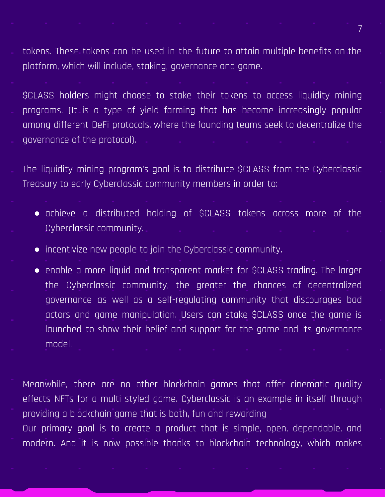tokens. These tokens can be used in the future to attain multiple benefits on the platform, which will include, staking, governance and game.

\$CLASS holders might choose to stake their tokens to access liquidity mining programs. (It is a type of yield farming that has become increasingly popular among different DeFi protocols, where the founding teams seek to decentralize the governance of the protocol).

The liquidity mining program's goal is to distribute \$CLASS from the Cyberclassic Treasury to early Cyberclassic community members in order to:

- achieve a distributed holding of \$CLASS tokens across more of the Cyberclassic community.
- incentivize new people to join the Cyberclassic community.
- enable a more liquid and transparent market for \$CLASS trading. The larger the Cyberclassic community, the greater the chances of decentralized governance as well as a self-regulating community that discourages bad actors and game manipulation. Users can stake \$CLASS once the game is launched to show their belief and support for the game and its governance model.

Meanwhile, there are no other blockchain games that offer cinematic quality effects NFTs for a multi styled game. Cyberclassic is an example in itself through providing a blockchain game that is both, fun and rewarding

Our primary goal is to create a product that is simple, open, dependable, and modern. And it is now possible thanks to blockchain technology, which makes

7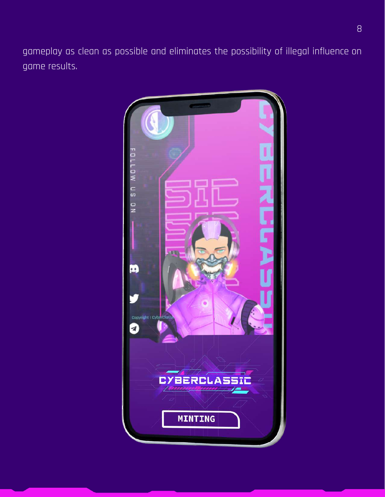gameplay as clean as possible and eliminates the possibility of illegal influence on game results.

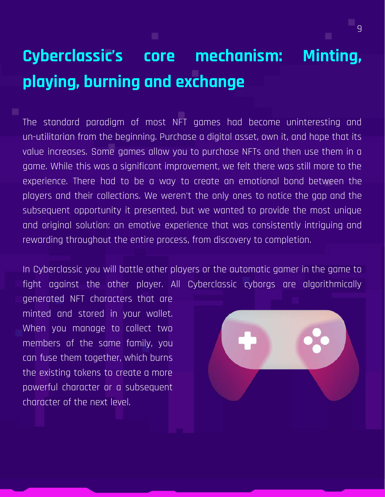### **Cyberclassic's core mechanism: Minting, playing, burning and exchange**

The standard paradigm of most NFT games had become uninteresting and un-utilitarian from the beginning. Purchase a digital asset, own it, and hope that its value increases. Some games allow you to purchase NFTs and then use them in a game. While this was a significant improvement, we felt there was still more to the experience. There had to be a way to create an emotional bond between the players and their collections. We weren't the only ones to notice the gap and the subsequent opportunity it presented, but we wanted to provide the most unique and original solution: an emotive experience that was consistently intriguing and rewarding throughout the entire process, from discovery to completion.

In Cyberclassic you will battle other players or the automatic gamer in the game to fight against the other player. All Cyberclassic cyborgs are algorithmically

generated NFT characters that are minted and stored in your wallet. When you manage to collect two members of the same family, you can fuse them together, which burns the existing tokens to create a more powerful character or a subsequent character of the next level.



9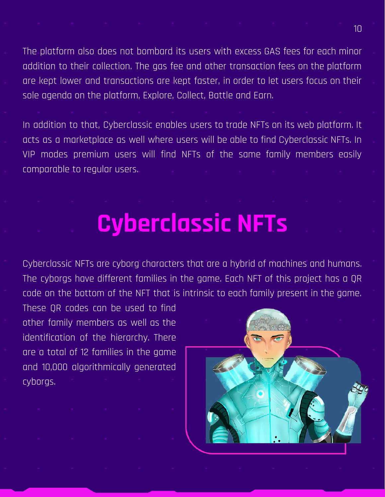The platform also does not bombard its users with excess GAS fees for each minor addition to their collection. The gas fee and other transaction fees on the platform are kept lower and transactions are kept faster, in order to let users focus on their sole agenda on the platform, Explore, Collect, Battle and Earn.

In addition to that, Cyberclassic enables users to trade NFTs on its web platform. It acts as a marketplace as well where users will be able to find Cyberclassic NFTs. In VIP modes premium users will find NFTs of the same family members easily comparable to regular users.

## **Cyberclassic NFTs**

Cyberclassic NFTs are cyborg characters that are a hybrid of machines and humans. The cyborgs have different families in the game. Each NFT of this project has a QR code on the bottom of the NFT that is intrinsic to each family present in the game.

These QR codes can be used to find other family members as well as the identification of the hierarchy. There are a total of 12 families in the game and 10,000 algorithmically generated cyborgs.



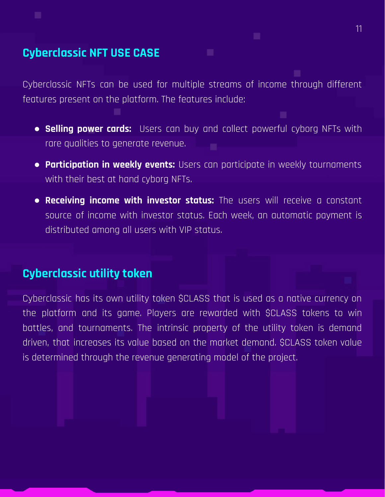#### **Cyberclassic NFT USE CASE**

Cyberclassic NFTs can be used for multiple streams of income through different features present on the platform. The features include:

- **Selling power cards:** Users can buy and collect powerful cyborg NFTs with rare qualities to generate revenue.
- **Participation in weekly events:** Users can participate in weekly tournaments with their best at hand cyborg NFTs.
- **Receiving income with investor status:** The users will receive a constant source of income with investor status. Each week, an automatic payment is distributed among all users with VIP status.

#### **Cyberclassic utility token**

Cyberclassic has its own utility token \$CLASS that is used as a native currency on the platform and its game. Players are rewarded with \$CLASS tokens to win battles, and tournaments. The intrinsic property of the utility token is demand driven, that increases its value based on the market demand. \$CLASS token value is determined through the revenue generating model of the project.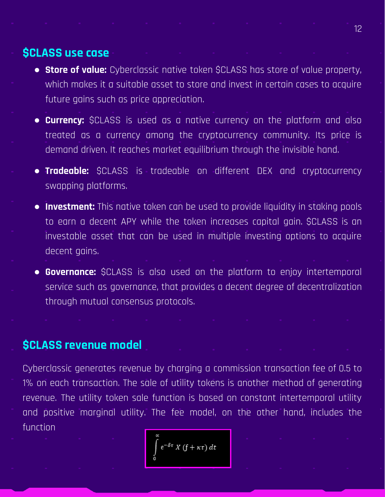#### **\$CLASS use case**

- **Store of value:** Cyberclassic native token \$CLASS has store of value property, which makes it a suitable asset to store and invest in certain cases to acquire future gains such as price appreciation.
- **Currency:** \$CLASS is used as a native currency on the platform and also treated as a currency among the cryptocurrency community. Its price is demand driven. It reaches market equilibrium through the invisible hand.
- **Tradeable:** \$CLASS is tradeable on different DEX and cryptocurrency swapping platforms.
- **Investment:** This native token can be used to provide liquidity in staking pools to earn a decent APY while the token increases capital gain. \$CLASS is an investable asset that can be used in multiple investing options to acquire decent gains.
- **Governance:** \$CLASS is also used on the platform to enjoy intertemporal service such as governance, that provides a decent degree of decentralization through mutual consensus protocols.

#### **\$CLASS revenue model**

Cyberclassic generates revenue by charging a commission transaction fee of 0.5 to 1% on each transaction. The sale of utility tokens is another method of generating revenue. The utility token sale function is based on constant intertemporal utility and positive marginal utility. The fee model, on the other hand, includes the function

 $e^{-\delta\tau} X(f+\kappa\tau) dt$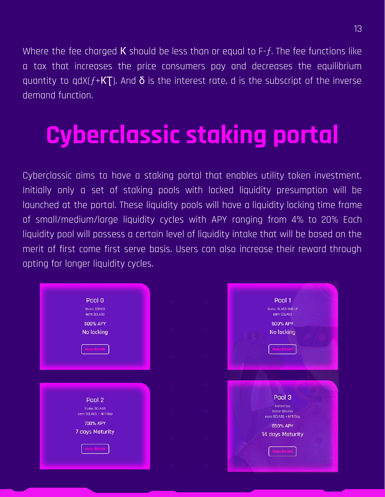Where the fee charged **K** should be less than or equal to  $F-f$ . The fee functions like a tax that increases the price consumers pay and decreases the equilibrium quantity to qdX( $f$ +KT). And  $\delta$  is the interest rate, d is the subscript of the inverse demand function.

## **Cyberclassic staking portal**

Cyberclassic aims to have a staking portal that enables utility token investment. Initially only a set of staking pools with locked liquidity presumption will be launched at the portal. These liquidity pools will have a liquidity locking time frame of small/medium/large liquidity cycles with APY ranging from 4% to 20% Each liquidity pool will possess a certain level of liquidity intake that will be based on the merit of first come first serve basis. Users can also increase their reward through opting for longer liquidity cycles.

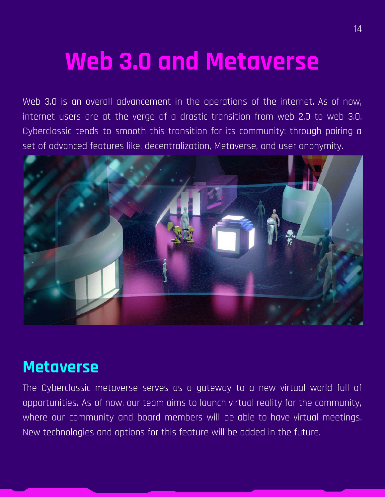## **Web 3.0 and Metaverse**

Web 3.0 is an overall advancement in the operations of the internet. As of now, internet users are at the verge of a drastic transition from web 2.0 to web 3.0. Cyberclassic tends to smooth this transition for its community: through pairing a set of advanced features like, decentralization, Metaverse, and user anonymity.



### **Metaverse**

The Cyberclassic metaverse serves as a gateway to a new virtual world full of opportunities. As of now, our team aims to launch virtual reality for the community, where our community and board members will be able to have virtual meetings. New technologies and options for this feature will be added in the future.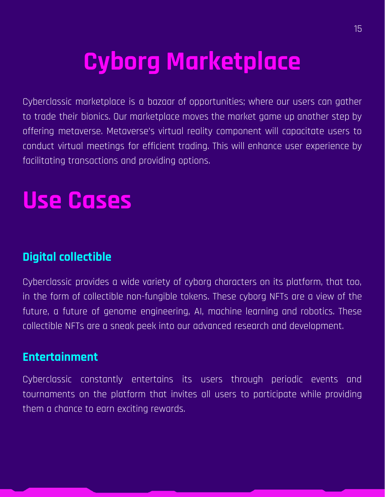## **Cyborg Marketplace**

Cyberclassic marketplace is a bazaar of opportunities; where our users can gather to trade their bionics. Our marketplace moves the market game up another step by offering metaverse. Metaverse's virtual reality component will capacitate users to conduct virtual meetings for efficient trading. This will enhance user experience by facilitating transactions and providing options.

## **Use Cases**

### **Digital collectible**

Cyberclassic provides a wide variety of cyborg characters on its platform, that too, in the form of collectible non-fungible tokens. These cyborg NFTs are a view of the future, a future of genome engineering, AI, machine learning and robotics. These collectible NFTs are a sneak peek into our advanced research and development.

#### **Entertainment**

Cyberclassic constantly entertains its users through periodic events and tournaments on the platform that invites all users to participate while providing them a chance to earn exciting rewards.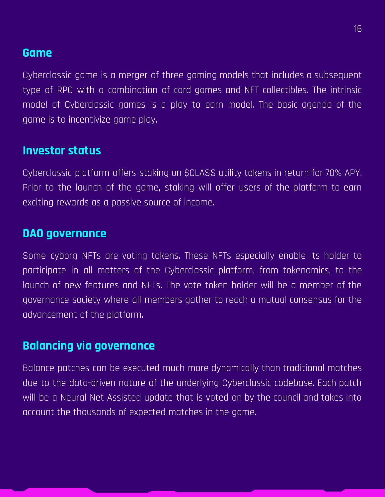#### **Game**

Cyberclassic game is a merger of three gaming models that includes a subsequent type of RPG with a combination of card games and NFT collectibles. The intrinsic model of Cyberclassic games is a play to earn model. The basic agenda of the game is to incentivize game play.

#### **Investor status**

Cyberclassic platform offers staking on \$CLASS utility tokens in return for 70% APY. Prior to the launch of the game, staking will offer users of the platform to earn exciting rewards as a passive source of income.

#### **DAO governance**

Some cyborg NFTs are voting tokens. These NFTs especially enable its holder to participate in all matters of the Cyberclassic platform, from tokenomics, to the launch of new features and NFTs. The vote token holder will be a member of the governance society where all members gather to reach a mutual consensus for the advancement of the platform.

#### **Balancing via governance**

Balance patches can be executed much more dynamically than traditional matches due to the data-driven nature of the underlying Cyberclassic codebase. Each patch will be a Neural Net Assisted update that is voted on by the council and takes into account the thousands of expected matches in the game.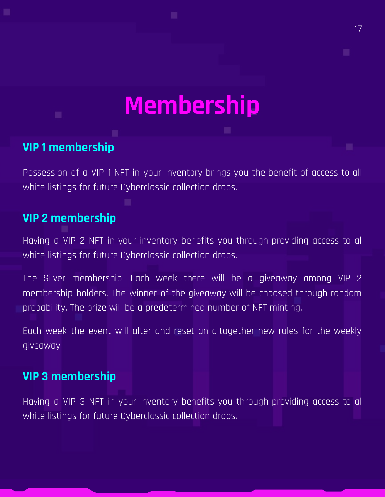## **Membership**

17

#### **VIP 1 membership**

Possession of a VIP 1 NFT in your inventory brings you the benefit of access to all white listings for future Cyberclassic collection drops.

#### **VIP 2 membership**

Having a VIP 2 NFT in your inventory benefits you through providing access to al white listings for future Cyberclassic collection drops.

The Silver membership: Each week there will be a giveaway among VIP 2 membership holders. The winner of the giveaway will be choosed through random probability. The prize will be a predetermined number of NFT minting.

Each week the event will alter and reset an altogether new rules for the weekly giveaway

#### **VIP 3 membership**

Having a VIP 3 NFT in your inventory benefits you through providing access to al white listings for future Cyberclassic collection drops.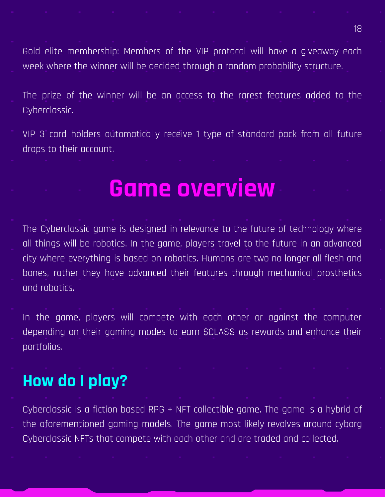Gold elite membership: Members of the VIP protocol will have a giveaway each week where the winner will be decided through a random probability structure.

The prize of the winner will be an access to the rarest features added to the Cyberclassic.

VIP 3 card holders automatically receive 1 type of standard pack from all future drops to their account.

### **Game overview**

The Cyberclassic game is designed in relevance to the future of technology where all things will be robotics. In the game, players travel to the future in an advanced city where everything is based on robotics. Humans are two no longer all flesh and bones, rather they have advanced their features through mechanical prosthetics and robotics.

In the game, players will compete with each other or against the computer depending on their gaming modes to earn \$CLASS as rewards and enhance their portfolios.

### **How do I play?**

Cyberclassic is a fiction based RPG + NFT collectible game. The game is a hybrid of the aforementioned gaming models. The game most likely revolves around cyborg Cyberclassic NFTs that compete with each other and are traded and collected.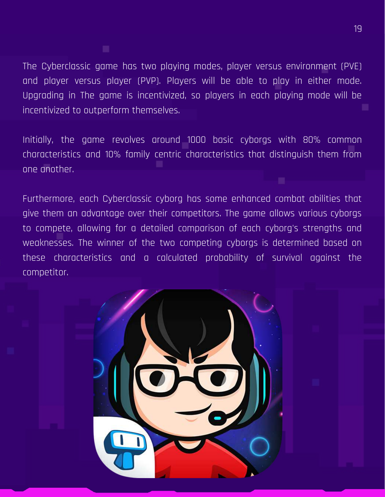The Cyberclassic game has two playing modes, player versus environment (PVE) and player versus player (PVP). Players will be able to play in either mode. Upgrading in The game is incentivized, so players in each playing mode will be incentivized to outperform themselves.

Initially, the game revolves around 1000 basic cyborgs with 80% common characteristics and 10% family centric characteristics that distinguish them from one another.

Furthermore, each Cyberclassic cyborg has some enhanced combat abilities that give them an advantage over their competitors. The game allows various cyborgs to compete, allowing for a detailed comparison of each cyborg's strengths and weaknesses. The winner of the two competing cyborgs is determined based on these characteristics and a calculated probability of survival against the competitor.

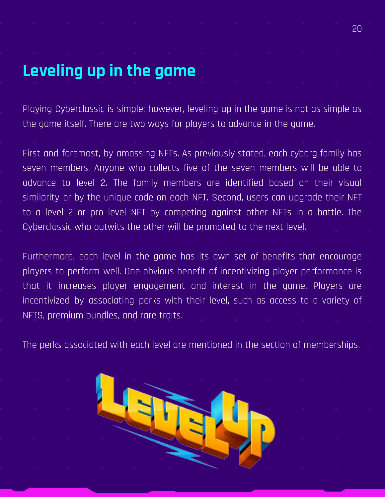### **Leveling up in the game**

Playing Cyberclassic is simple; however, leveling up in the game is not as simple as the game itself. There are two ways for players to advance in the game.

First and foremost, by amassing NFTs. As previously stated, each cyborg family has seven members. Anyone who collects five of the seven members will be able to advance to level 2. The family members are identified based on their visual similarity or by the unique code on each NFT. Second, users can upgrade their NFT to a level 2 or pro level NFT by competing against other NFTs in a battle. The Cyberclassic who outwits the other will be promoted to the next level.

Furthermore, each level in the game has its own set of benefits that encourage players to perform well. One obvious benefit of incentivizing player performance is that it increases player engagement and interest in the game. Players are incentivized by associating perks with their level, such as access to a variety of NFTS, premium bundles, and rare traits.

The perks associated with each level are mentioned in the section of memberships.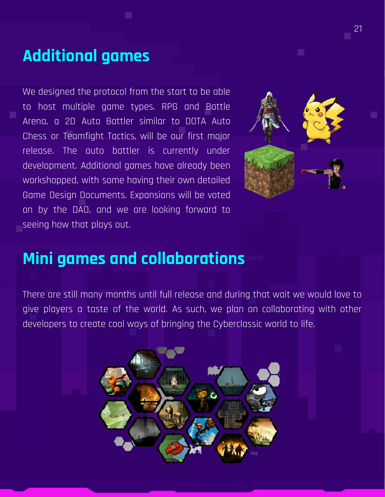### **Additional games**

We designed the protocol from the start to be able to host multiple game types. RPG and Battle Arena, a 2D Auto Battler similar to DOTA Auto Chess or Teamfight Tactics, will be our first major release. The auto battler is currently under development. Additional games have already been workshopped, with some having their own detailed Game Design Documents. Expansions will be voted on by the DAO, and we are looking forward to seeing how that plays out.



### **Mini games and collaborations**

There are still many months until full release and during that wait we would love to give players a taste of the world. As such, we plan on collaborating with other developers to create cool ways of bringing the Cyberclassic world to life.

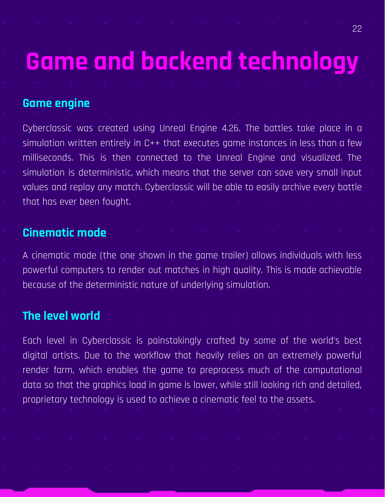## **Game and backend technology**

#### **Game engine**

Cyberclassic was created using Unreal Engine 4.26. The battles take place in a simulation written entirely in C++ that executes game instances in less than a few milliseconds. This is then connected to the Unreal Engine and visualized. The simulation is deterministic, which means that the server can save very small input values and replay any match. Cyberclassic will be able to easily archive every battle that has ever been fought.

#### **Cinematic mode**

A cinematic mode (the one shown in the game trailer) allows individuals with less powerful computers to render out matches in high quality. This is made achievable because of the deterministic nature of underlying simulation.

#### **The level world**

Each level in Cyberclassic is painstakingly crafted by some of the world's best digital artists. Due to the workflow that heavily relies on an extremely powerful render farm, which enables the game to preprocess much of the computational data so that the graphics load in game is lower, while still looking rich and detailed, proprietary technology is used to achieve a cinematic feel to the assets.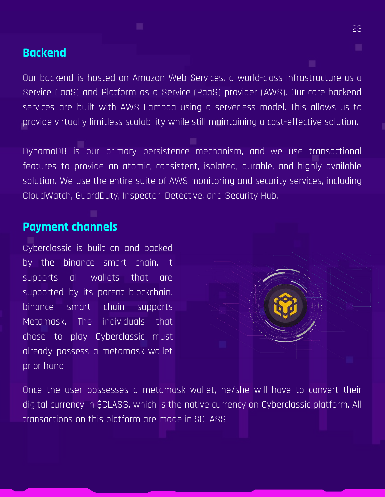#### **Backend**

Our backend is hosted on Amazon Web Services, a world-class Infrastructure as a Service (IaaS) and Platform as a Service (PaaS) provider (AWS). Our core backend services are built with AWS Lambda using a serverless model. This allows us to provide virtually limitless scalability while still maintaining a cost-effective solution.

DynamoDB is our primary persistence mechanism, and we use transactional features to provide an atomic, consistent, isolated, durable, and highly available solution. We use the entire suite of AWS monitoring and security services, including CloudWatch, GuardDuty, Inspector, Detective, and Security Hub.

#### **Payment channels**

Cyberclassic is built on and backed by the binance smart chain. It supports all wallets that are supported by its parent blockchain. binance smart chain supports Metamask. The individuals that chose to play Cyberclassic must already possess a metamask wallet prior hand.



Once the user possesses a metamask wallet, he/she will have to convert their digital currency in \$CLASS, which is the native currency on Cyberclassic platform. All transactions on this platform are made in \$CLASS.

23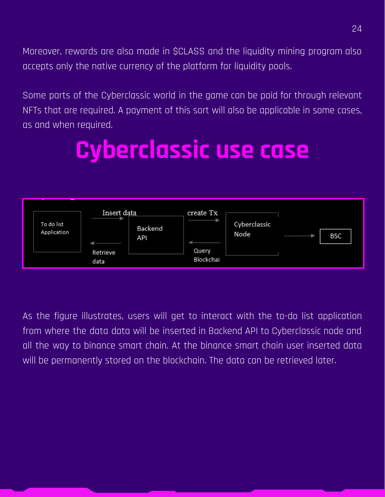Moreover, rewards are also made in \$CLASS and the liquidity mining program also accepts only the native currency of the platform for liquidity pools.

Some parts of the Cyberclassic world in the game can be paid for through relevant NFTs that are required. A payment of this sort will also be applicable in some cases, as and when required.

## **Cyberclassic use case**



As the figure illustrates, users will get to interact with the to-do list application from where the data data will be inserted in Backend API to Cyberclassic node and all the way to binance smart chain. At the binance smart chain user inserted data will be permanently stored on the blockchain. The data can be retrieved later.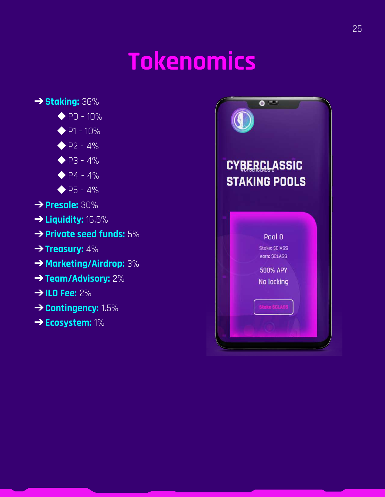## **Tokenomics**



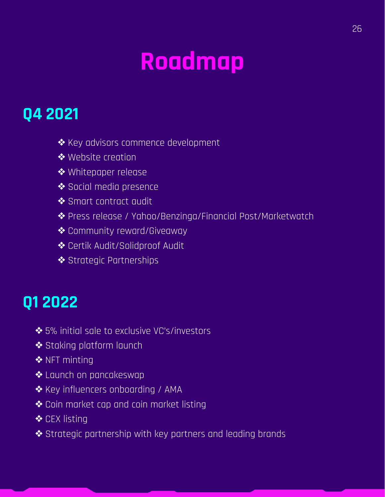## **Roadmap**

### **Q4 2021**

- ❖Key advisors commence development
- ❖Website creation
- ❖Whitepaper release
- ❖Social media presence
- ❖Smart contract audit
- ❖Press release / Yahoo/Benzinga/Financial Post/Marketwatch
- ❖Community reward/Giveaway
- ❖Certik Audit/Solidproof Audit
- ◆ Strategic Partnerships

### **Q1 2022**

- ❖5% initial sale to exclusive VC's/investors
- ❖Staking platform launch
- ◆ NFT minting
- ❖Launch on pancakeswap
- ◆ Key influencers onboarding / AMA
- ❖Coin market cap and coin market listing
- **❖ CEX listing**
- ❖Strategic partnership with key partners and leading brands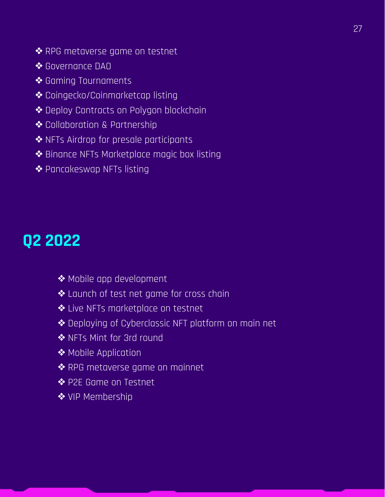- ❖RPG metaverse game on testnet
- ❖Governance DAO
- ❖Gaming Tournaments
- ❖Coingecko/Coinmarketcap listing
- ❖Deploy Contracts on Polygon blockchain
- ❖Collaboration & Partnership
- ❖NFTs Airdrop for presale participants
- ❖Binance NFTs Marketplace magic box listing
- ❖Pancakeswap NFTs listing

### **Q2 2022**

- ❖Mobile app development
- ❖Launch of test net game for cross chain
- ❖Live NFTs marketplace on testnet
- ❖Deploying of Cyberclassic NFT platform on main net
- ◆ NFTs Mint for 3rd round
- ◆ Mobile Application
- ❖RPG metaverse game on mainnet
- ❖P2E Game on Testnet
- ❖VIP Membership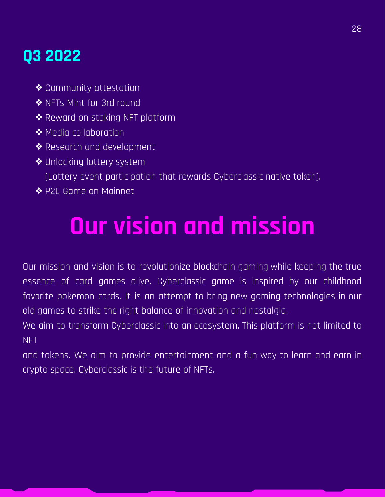### **Q3 2022**

- ❖Community attestation
- ❖NFTs Mint for 3rd round
- ❖Reward on staking NFT platform
- ❖Media collaboration
- ❖Research and development
- ❖Unlocking lottery system
	- (Lottery event participation that rewards Cyberclassic native token).
- ❖P2E Game on Mainnet

## **Our vision and mission**

Our mission and vision is to revolutionize blockchain gaming while keeping the true essence of card games alive. Cyberclassic game is inspired by our childhood favorite pokemon cards. It is an attempt to bring new gaming technologies in our old games to strike the right balance of innovation and nostalgia.

We aim to transform Cyberclassic into an ecosystem. This platform is not limited to NFT

and tokens. We aim to provide entertainment and a fun way to learn and earn in crypto space. Cyberclassic is the future of NFTs.